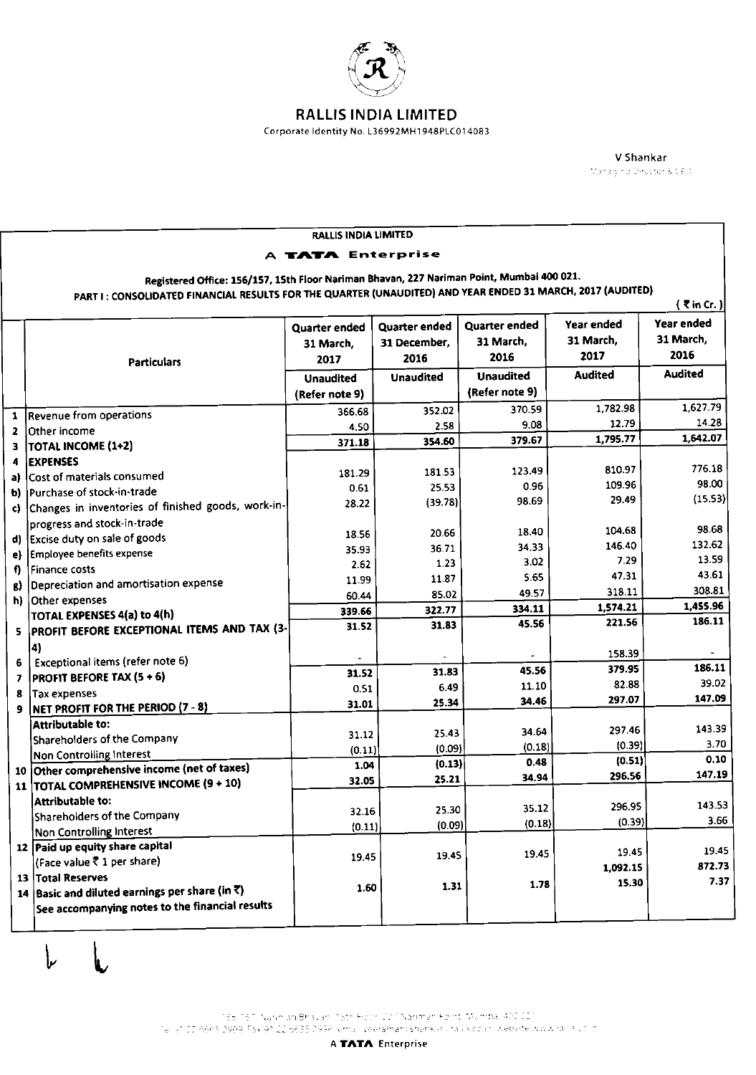

Corporate Identity No. L36992MH1948PLC014083

V Shankar Managing Director & CEO.

|                                                                                                            |                                                                          | RALLIS INDIA LIMITED |                      |                  |                |                |  |  |  |  |
|------------------------------------------------------------------------------------------------------------|--------------------------------------------------------------------------|----------------------|----------------------|------------------|----------------|----------------|--|--|--|--|
| A TATA Enterprise                                                                                          |                                                                          |                      |                      |                  |                |                |  |  |  |  |
| Registered Office: 156/157, 15th Floor Nariman Bhavan, 227 Nariman Point, Mumbai 400 021.                  |                                                                          |                      |                      |                  |                |                |  |  |  |  |
| PART I: CONSOLIDATED FINANCIAL RESULTS FOR THE QUARTER (UNAUDITED) AND YEAR ENDED 31 MARCH, 2017 (AUDITED) |                                                                          |                      |                      |                  |                |                |  |  |  |  |
| $($ ₹ in Cr. $)$                                                                                           |                                                                          |                      |                      |                  |                |                |  |  |  |  |
|                                                                                                            |                                                                          | Quarter ended        | <b>Quarter ended</b> | Quarter ended    | Year ended     | Year ended     |  |  |  |  |
|                                                                                                            |                                                                          | 31 March,            | 31 December.         | 31 March,        | 31 March,      | 31 March,      |  |  |  |  |
|                                                                                                            | <b>Particulars</b>                                                       | 2017                 | 2016                 | 2016             | 2017           | 2016           |  |  |  |  |
|                                                                                                            |                                                                          | <b>Unaudited</b>     | <b>Unaudited</b>     | <b>Unaudited</b> | <b>Audited</b> | <b>Audited</b> |  |  |  |  |
|                                                                                                            |                                                                          | (Refer note 9)       |                      | (Refer note 9)   |                |                |  |  |  |  |
| 1                                                                                                          | Revenue from operations                                                  | 366.68               | 352.02               | 370.59           | 1,782.98       | 1,627.79       |  |  |  |  |
| $\mathbf{z}$                                                                                               | Other income                                                             | 4.50                 | 2.58                 | 9.08             | 12.79          | 14.28          |  |  |  |  |
| з                                                                                                          | TOTAL INCOME (1+2)                                                       | 371.18               | 354.60               | 379.67           | 1,795.77       | 1,642.07       |  |  |  |  |
| 4                                                                                                          | <b>EXPENSES</b>                                                          |                      |                      |                  |                |                |  |  |  |  |
| aì                                                                                                         | Cost of materials consumed                                               | 181.29               | 181.53               | 123.49           | 810.97         | 776.18         |  |  |  |  |
| b)                                                                                                         | Purchase of stock-in-trade                                               | 0.61                 | 25.53                | 0.96             | 109.96         | 98.00          |  |  |  |  |
| c)                                                                                                         | Changes in inventories of finished goods, work-in-                       | 28.22                | (39.78)              | 98.69            | 29.49          | (15.53)        |  |  |  |  |
|                                                                                                            | progress and stock-in-trade                                              |                      |                      |                  | 104.68         | 98.68          |  |  |  |  |
| d)                                                                                                         | Excise duty on sale of goods                                             | 18.56                | 20.66                | 18.40            | 146.40         | 132.62         |  |  |  |  |
|                                                                                                            | Employee benefits expense                                                | 35.93                | 36.71                | 34.33<br>3.02    | 7.29           | 13.59          |  |  |  |  |
|                                                                                                            | Finance costs                                                            | 2.62                 | 1.23                 | 5.65             | 47.31          | 43.61          |  |  |  |  |
| ß)                                                                                                         | Depreciation and amortisation expense                                    | 11.99                | 11.87                | 49.57            | 318.11         | 308.81         |  |  |  |  |
|                                                                                                            | h) Other expenses                                                        | 60.44                | 85.02                | 334.11           | 1,574.21       | 1,455.96       |  |  |  |  |
|                                                                                                            | TOTAL EXPENSES 4(a) to 4(h)                                              | 339.66               | 322.77<br>31.83      | 45.56            | 221.56         | 186.11         |  |  |  |  |
|                                                                                                            | 5   PROFIT BEFORE EXCEPTIONAL ITEMS AND TAX (3-                          | 31.52                |                      |                  |                |                |  |  |  |  |
|                                                                                                            | $\vert$ 4)                                                               |                      |                      |                  | 158.39         |                |  |  |  |  |
| 6                                                                                                          | Exceptional items (refer note 6)                                         | 31.52                | 31.83                | 45.56            | 379.95         | 186.11         |  |  |  |  |
| 7                                                                                                          | <b>PROFIT BEFORE TAX (5+6)</b>                                           | 0.51                 | 6.49                 | 11.10            | 82.88          | 39.02          |  |  |  |  |
| 8                                                                                                          | <b>Tax expenses</b>                                                      | 31.01                | 25.34                | 34.46            | 297.07         | 147.09         |  |  |  |  |
| 9.                                                                                                         | NET PROFIT FOR THE PERIOD (7 - 8)                                        |                      |                      |                  |                |                |  |  |  |  |
|                                                                                                            | Attributable to:                                                         | 31.12                | 25.43                | 34.64            | 297.46         | 143.39         |  |  |  |  |
|                                                                                                            | Shareholders of the Company                                              | (0.11)               | (0.09)               | (0.18)           | (0.39)         | 3.70           |  |  |  |  |
|                                                                                                            | Non Controlling Interest<br>10 Other comprehensive income (net of taxes) | 1.04                 | (0.13)               | 0.48             | (0.51)         | 0.10           |  |  |  |  |
|                                                                                                            | <b>TOTAL COMPREHENSIVE INCOME (9+10)</b>                                 | 32.05                | 25.21                | 34.94            | 296.56         | 147.19         |  |  |  |  |
| 11                                                                                                         | Attributable to:                                                         |                      |                      |                  |                |                |  |  |  |  |
|                                                                                                            | Shareholders of the Company                                              | 32.16                | 25.30                | 35.12            | 296.95         | 143.53         |  |  |  |  |
|                                                                                                            | Non Controlling Interest                                                 | (0.11)               | (0.09)               | (0.18)           | (0.39)         | 3.66           |  |  |  |  |
|                                                                                                            | 12 Paid up equity share capital                                          |                      |                      |                  |                |                |  |  |  |  |
|                                                                                                            | (Face value ₹ 1 per share)                                               | 19.45                | 19.45                | 19.45            | 19.45          | 19.45          |  |  |  |  |
|                                                                                                            | 13 Total Reserves                                                        |                      |                      |                  | 1,092.15       | 872.73         |  |  |  |  |
|                                                                                                            | 14 Basic and diluted earnings per share (in $\bar{x}$ )                  | 1.60                 | 1.31                 | 1.78             | 15.30          | 7.37           |  |  |  |  |
|                                                                                                            | See accompanying notes to the financial results                          |                      |                      |                  |                |                |  |  |  |  |
|                                                                                                            |                                                                          |                      |                      |                  |                |                |  |  |  |  |

レ

156-157 Nariman Bhavan Pott Field (221 Nariman Felint, Mümba (400 C21)<br>Tellet III R665 2909 Fax 91 22 6635 2966 lemali veeramahi shankurura i soolini website www.rali siyoliin.

A TATA Enterprise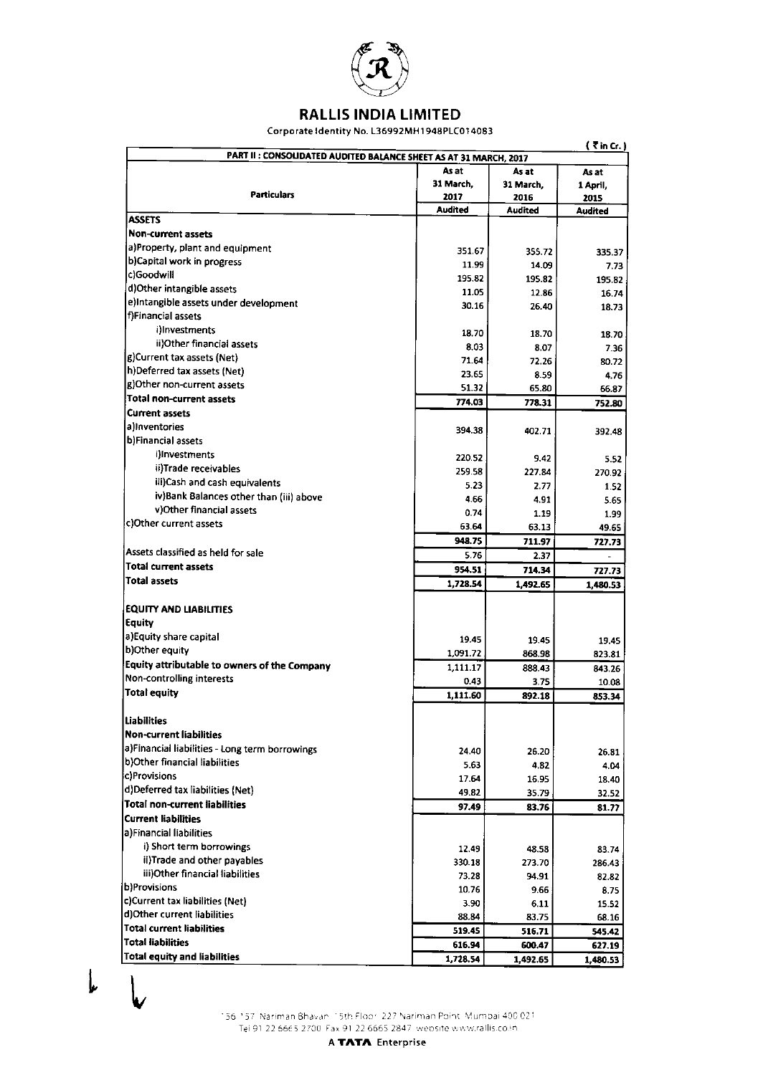

Corporate Identity No. L36992MH1948PLC014083

| $($ $\bar{z}$ in Cr. $)$<br>PART II : CONSOLIDATED AUDITED BALANCE SHEET AS AT 31 MARCH, 2017 |                         |                |          |  |  |
|-----------------------------------------------------------------------------------------------|-------------------------|----------------|----------|--|--|
|                                                                                               | As at<br>As at<br>As at |                |          |  |  |
|                                                                                               | 31 March,               | 31 March,      | 1 April, |  |  |
| <b>Particulars</b>                                                                            | 2017                    | 2016           | 2015     |  |  |
|                                                                                               | <b>Audited</b>          | <b>Audited</b> | Audited  |  |  |
| <b>ASSETS</b>                                                                                 |                         |                |          |  |  |
| Non-current assets                                                                            |                         |                |          |  |  |
| a)Property, plant and equipment                                                               | 351.67                  | 355.72         | 335.37   |  |  |
| b)Capital work in progress                                                                    | 11.99                   | 14.09          | 7.73     |  |  |
| c)Goodwill                                                                                    | 195.82                  | 195.82         | 195.82   |  |  |
| d)Other intangible assets                                                                     | 11.05                   | 12.86          | 16.74    |  |  |
| e}Intangible assets under development                                                         | 30.16                   | 26.40          | 18.73    |  |  |
| f)Financial assets                                                                            |                         |                |          |  |  |
| i)Investments                                                                                 | 18.70                   | 18.70          | 18.70    |  |  |
| ii)Other financial assets                                                                     | 8.03                    | 8.07           | 7.36     |  |  |
| g)Current tax assets (Net)                                                                    | 71.64                   | 72.26          | 80.72    |  |  |
| h)Deferred tax assets (Net)                                                                   | 23.65                   | 8.59           | 4.76     |  |  |
| g)Other non-current assets                                                                    | 51.32                   | 65.80          | 66.87    |  |  |
| Total non-current assets                                                                      | 774.03                  | 778.31         | 752.80   |  |  |
| <b>Current assets</b>                                                                         |                         |                |          |  |  |
| allnyentories                                                                                 | 394.38                  | 402.71         | 392.48   |  |  |
| b)Financial assets                                                                            |                         |                |          |  |  |
| i)Investments                                                                                 | 220.52                  | 9.42           | 5.52     |  |  |
| ii)Trade receivables                                                                          | 259.58                  | 227.84         | 270.92   |  |  |
| iii)Cash and cash equivalents                                                                 | 5.23                    | 2.77           | 1.52     |  |  |
| iv}Bank Balances other than (iii) above                                                       | 4.66                    | 4.91           | 5.65     |  |  |
| v) Other financial assets                                                                     | 0.74                    | 1.19           | 1.99     |  |  |
| c)Other current assets                                                                        | 63.64                   | 63.13          | 49.65    |  |  |
|                                                                                               | 948.75                  | 711.97         | 727.73   |  |  |
| Assets classified as held for sale                                                            | 5.76                    | 2.37           |          |  |  |
| <b>Total current assets</b>                                                                   | 954.51                  | 714.34         | 727.73   |  |  |
| <b>Total assets</b>                                                                           | 1,728.54                | 1,492.65       | 1,480.53 |  |  |
|                                                                                               |                         |                |          |  |  |
| <b>EQUITY AND LIABILITIES</b>                                                                 |                         |                |          |  |  |
| <b>Equity</b>                                                                                 |                         |                |          |  |  |
| a)Equity share capital                                                                        | 19.45                   | 19.45          | 19.45    |  |  |
| b)Other equity                                                                                | 1,091.72                | 868.98         | 823.81   |  |  |
| Equity attributable to owners of the Company                                                  | 1,111.17                | 888 43         | 843 26   |  |  |
| Non-controlling interests                                                                     | 0.43                    | 3.75           | 10.08    |  |  |
| <b>Total equity</b>                                                                           | 1,111.60                | 892.18         | 853.34   |  |  |
|                                                                                               |                         |                |          |  |  |
| Liabilities                                                                                   |                         |                |          |  |  |
| <b>Non-current liabilities</b>                                                                |                         |                |          |  |  |
| a)Financial liabilities - Long term borrowings                                                | 24.40                   | 26.20          | 26.81    |  |  |
| b)Other financial liabilities                                                                 | 5.63                    | 4.82           | 4.04     |  |  |
| c)Provisions                                                                                  | 17.64                   | 16.95          | 18.40    |  |  |
| d)Deferred tax liabilities (Net)                                                              | 49.82                   | 35.79          | 32.52    |  |  |
| Total non-current liabilities                                                                 | 97.49                   | 83.76          | 81 77    |  |  |
| Current liabilities                                                                           |                         |                |          |  |  |
| a)Financial liabilities                                                                       |                         |                |          |  |  |
| i) Short term borrowings                                                                      | 12.49                   | 48.58          | 83.74    |  |  |
| ii)Trade and other payables                                                                   | 330.18                  | 273.70         | 286.43   |  |  |
| iii)Other financial liabilities                                                               | 73.28                   | 94.91          | 8282     |  |  |
| b)Provisions                                                                                  | 10.76                   | 9.66           | 8.75     |  |  |
| c)Current tax liabilities (Net)                                                               | 3.90                    | 6.11           | 15.52    |  |  |
| d) Other current liabilities                                                                  | 88.84                   | 83.75          | 68.16    |  |  |
| <b>Total current liabilities</b>                                                              | 519.45                  | 516.71         | 545.42   |  |  |
| <b>Total liabilities</b>                                                                      | 616.94                  | 600.47         | 627.19   |  |  |
| <b>Total equity and liabilities</b>                                                           | 1,728.54                | 1,492.65       | 1,480.53 |  |  |

 $\downarrow$ 

156-157 Nariman Bhavan 15th Floor, 227 Nariman Point, Mumbai 400.021<br>Tel 91-22 6665 2700. Fax 91:22 6665 2847, website www.rallis.co.in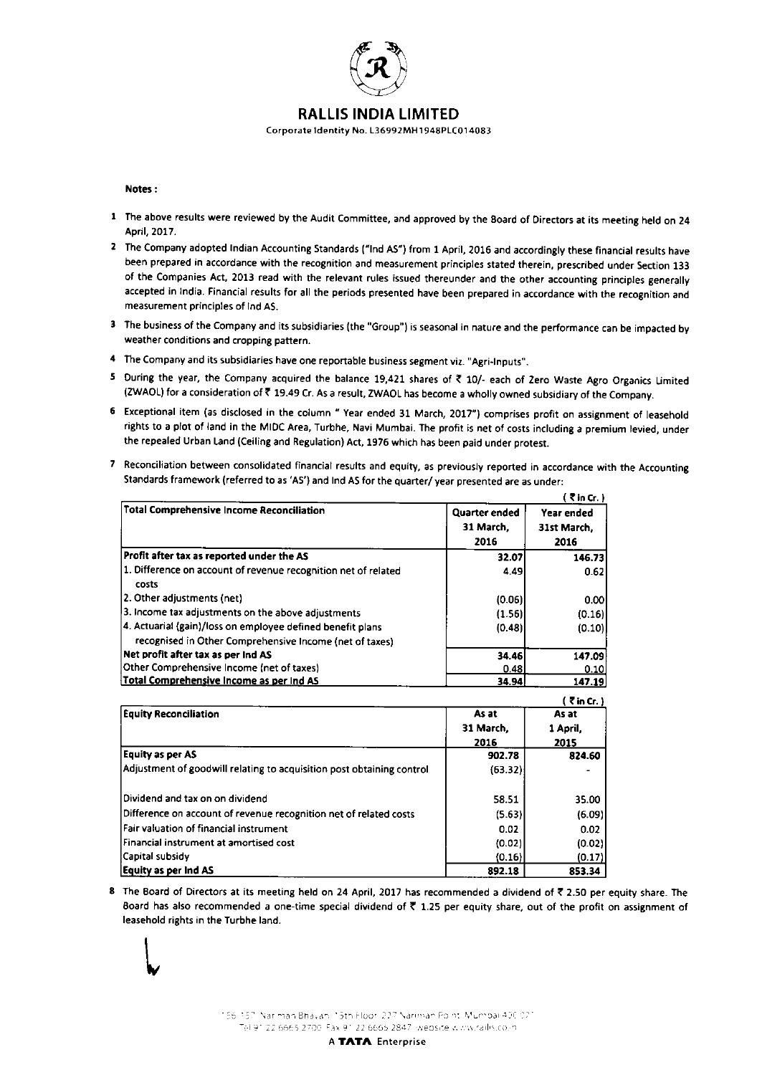

Corporate Identity No. L36992MH1948PLC014083

## Notes :

I I v

- I The above results were reviewed by the Audit Committee, and approved by the Eoard of Oirectors at its meeting held on <sup>24</sup> April,2017.
- 2 The Company adopted Indian Accounting Standards ("Ind AS") from 1 April, 2016 and accordingly these financial results have been prepared in accordance with the recognition and measurement principles stated therein, prescribed under Section 133 of the Companies Act, 2013 read with the relevant rules issued thereunder and the other accounting principles generally accepted in India. Financial results for all the periods presented have been prepared in accordance wilh the recognition and measurement principles of lnd AS.
- 3 The business of the Company and its subsidiaries (the "Group") is seasonal in nature and the performance can be impacted by weather conditions and cropping pattern.
- 4 The Company and its subsidiaries have one reportable business segment viz. "Agri-Inputs".
- 5 During the year, the Company acquired the balance 19,421 shares of  $\bar{\tau}$  10/- each of Zero Waste Agro Organics Limited (ZWAOL) for a consideration of  $\bar{\xi}$  19.49 Cr. As a result, ZWAOL has become a wholly owned subsidiary of the Company.
- 6 Exceptional item (as disclosed in the column " Year ended 31 March, 2017") comprises profit on assignment of leasehold rights to a plot of land in the MIDC Area, Turbhe, Navi Mumbai. The profit is net of costs including a premium levied, under the repealed Urban Land (Ceiling and Regulation) Act, 1976 which has been paid under protest.
- 7 Reconciliation between consolidated financial results and equity, as previously reported in accordance with the Accounting Standards framework (referred to as 'AS') and Ind AS for the quarter/year presented are as under:

|                                                                         |                      | (7 in Cr.)  |
|-------------------------------------------------------------------------|----------------------|-------------|
| <b>Total Comprehensive Income Reconciliation</b>                        | <b>Quarter ended</b> | Year ended  |
|                                                                         | 31 March,            | 31st March. |
|                                                                         | 2016                 | 2016        |
| Profit after tax as reported under the AS                               | 32.07                | 146.73      |
| 1. Difference on account of revenue recognition net of related<br>costs | 4.49                 | 0.62        |
| 2. Other adjustments (net)                                              | (0.06)               | 0.00        |
| 3. Income tax adjustments on the above adjustments                      | (1.56)               | (0.16)      |
| 4. Actuarial (gain)/loss on employee defined benefit plans              | (0.48)               | (0.10)      |
| recognised in Other Comprehensive Income (net of taxes)                 |                      |             |
| Net profit after tax as per Ind AS                                      | 34.46                | 147.09      |
| Other Comprehensive Income (net of taxes)                               | 0.48                 | 0.10        |
| Total Comprehensive Income as per Ind AS                                | 34.94                | 147.19      |
|                                                                         |                      | (7 in Cr.)  |
| <b>Equity Reconciliation</b>                                            | As at                | As at       |
|                                                                         | 31 March,            | 1 April,    |
|                                                                         | 2016                 | 2015        |
| <b>Equity as per AS</b>                                                 | 902.78               | 824.60      |
| Adjustment of goodwill relating to acquisition post obtaining control   | (63.32)              |             |
|                                                                         |                      |             |
| Dividend and tax on on dividend                                         | 58.51                | 35.00       |
| Difference on account of revenue recognition net of related costs       | (5.63)               | (6.09)      |
| Fair valuation of financial instrument                                  | 0.02                 | 0.02        |
| Financial instrument at amortised cost                                  | (0.02)               | (0.02)      |
| Capital subsidy                                                         | (0.16)               | (0.17)      |
| Equity as per Ind AS                                                    | 892.18               | 853.34      |

8 The Board of Directors at its meeting held on 24 April, 2017 has recommended a dividend of ₹ 2.50 per equity share. The Board has also recommended a one-time special dividend of  $\bar{\tau}$  1.25 per equity share, out of the profit on assignment of leasehold rights in the Turbhe land.



A TATA Enterprise